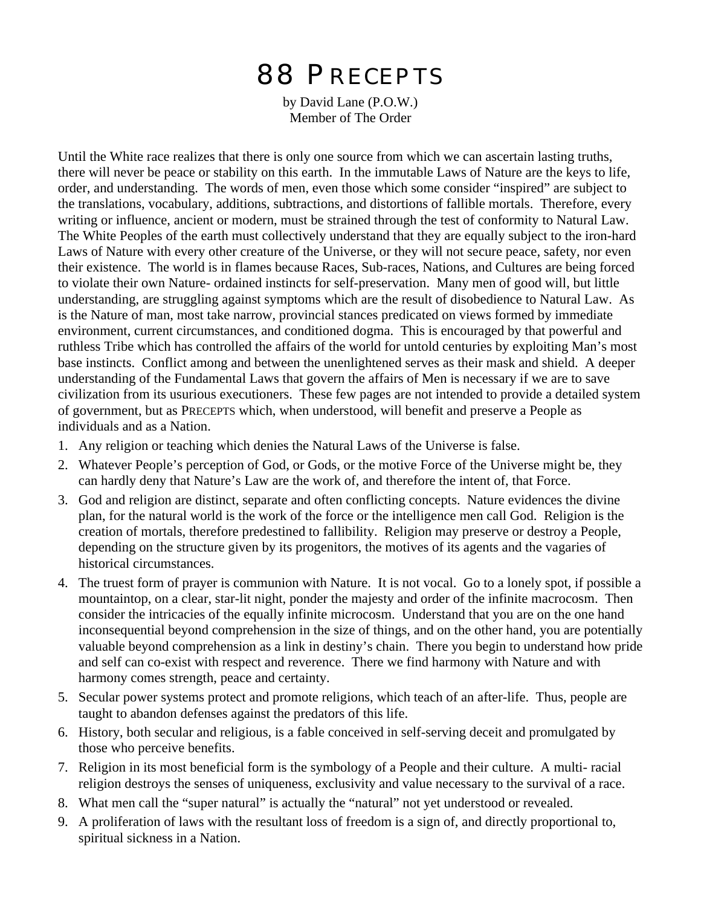## 88 PRECEPTS

by David Lane (P.O.W.) Member of The Order

Until the White race realizes that there is only one source from which we can ascertain lasting truths, there will never be peace or stability on this earth. In the immutable Laws of Nature are the keys to life, order, and understanding. The words of men, even those which some consider "inspired" are subject to the translations, vocabulary, additions, subtractions, and distortions of fallible mortals. Therefore, every writing or influence, ancient or modern, must be strained through the test of conformity to Natural Law. The White Peoples of the earth must collectively understand that they are equally subject to the iron-hard Laws of Nature with every other creature of the Universe, or they will not secure peace, safety, nor even their existence. The world is in flames because Races, Sub-races, Nations, and Cultures are being forced to violate their own Nature- ordained instincts for self-preservation. Many men of good will, but little understanding, are struggling against symptoms which are the result of disobedience to Natural Law. As is the Nature of man, most take narrow, provincial stances predicated on views formed by immediate environment, current circumstances, and conditioned dogma. This is encouraged by that powerful and ruthless Tribe which has controlled the affairs of the world for untold centuries by exploiting Man's most base instincts. Conflict among and between the unenlightened serves as their mask and shield. A deeper understanding of the Fundamental Laws that govern the affairs of Men is necessary if we are to save civilization from its usurious executioners. These few pages are not intended to provide a detailed system of government, but as PRECEPTS which, when understood, will benefit and preserve a People as individuals and as a Nation.

- 1. Any religion or teaching which denies the Natural Laws of the Universe is false.
- 2. Whatever People's perception of God, or Gods, or the motive Force of the Universe might be, they can hardly deny that Nature's Law are the work of, and therefore the intent of, that Force.
- 3. God and religion are distinct, separate and often conflicting concepts. Nature evidences the divine plan, for the natural world is the work of the force or the intelligence men call God. Religion is the creation of mortals, therefore predestined to fallibility. Religion may preserve or destroy a People, depending on the structure given by its progenitors, the motives of its agents and the vagaries of historical circumstances.
- 4. The truest form of prayer is communion with Nature. It is not vocal. Go to a lonely spot, if possible a mountaintop, on a clear, star-lit night, ponder the majesty and order of the infinite macrocosm. Then consider the intricacies of the equally infinite microcosm. Understand that you are on the one hand inconsequential beyond comprehension in the size of things, and on the other hand, you are potentially valuable beyond comprehension as a link in destiny's chain. There you begin to understand how pride and self can co-exist with respect and reverence. There we find harmony with Nature and with harmony comes strength, peace and certainty.
- 5. Secular power systems protect and promote religions, which teach of an after-life. Thus, people are taught to abandon defenses against the predators of this life.
- 6. History, both secular and religious, is a fable conceived in self-serving deceit and promulgated by those who perceive benefits.
- 7. Religion in its most beneficial form is the symbology of a People and their culture. A multi- racial religion destroys the senses of uniqueness, exclusivity and value necessary to the survival of a race.
- 8. What men call the "super natural" is actually the "natural" not yet understood or revealed.
- 9. A proliferation of laws with the resultant loss of freedom is a sign of, and directly proportional to, spiritual sickness in a Nation.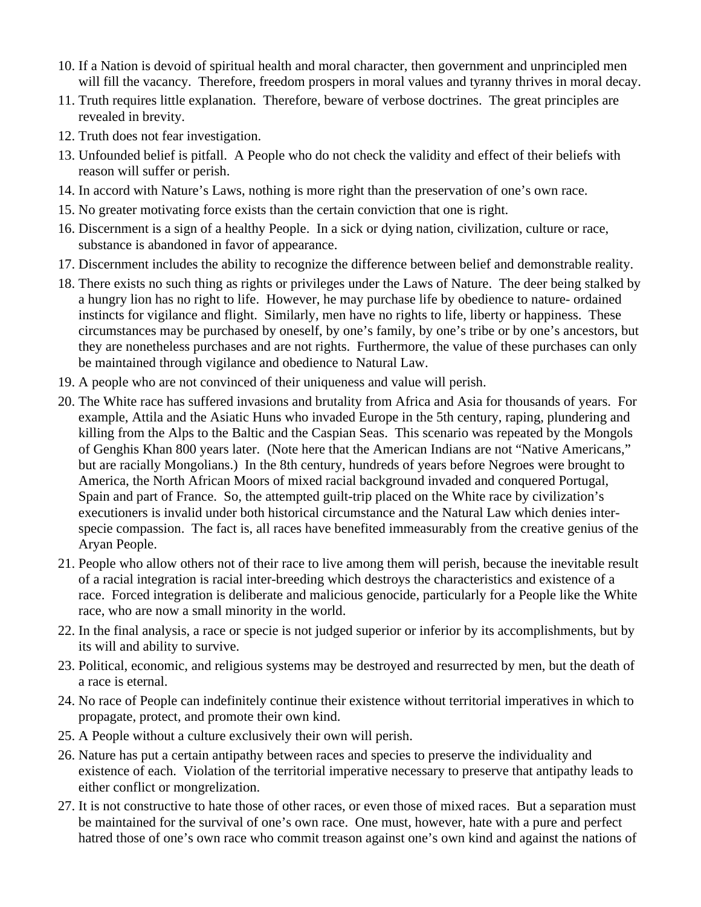- 10. If a Nation is devoid of spiritual health and moral character, then government and unprincipled men will fill the vacancy. Therefore, freedom prospers in moral values and tyranny thrives in moral decay.
- 11. Truth requires little explanation. Therefore, beware of verbose doctrines. The great principles are revealed in brevity.
- 12. Truth does not fear investigation.
- 13. Unfounded belief is pitfall. A People who do not check the validity and effect of their beliefs with reason will suffer or perish.
- 14. In accord with Nature's Laws, nothing is more right than the preservation of one's own race.
- 15. No greater motivating force exists than the certain conviction that one is right.
- 16. Discernment is a sign of a healthy People. In a sick or dying nation, civilization, culture or race, substance is abandoned in favor of appearance.
- 17. Discernment includes the ability to recognize the difference between belief and demonstrable reality.
- 18. There exists no such thing as rights or privileges under the Laws of Nature. The deer being stalked by a hungry lion has no right to life. However, he may purchase life by obedience to nature- ordained instincts for vigilance and flight. Similarly, men have no rights to life, liberty or happiness. These circumstances may be purchased by oneself, by one's family, by one's tribe or by one's ancestors, but they are nonetheless purchases and are not rights. Furthermore, the value of these purchases can only be maintained through vigilance and obedience to Natural Law.
- 19. A people who are not convinced of their uniqueness and value will perish.
- 20. The White race has suffered invasions and brutality from Africa and Asia for thousands of years. For example, Attila and the Asiatic Huns who invaded Europe in the 5th century, raping, plundering and killing from the Alps to the Baltic and the Caspian Seas. This scenario was repeated by the Mongols of Genghis Khan 800 years later. (Note here that the American Indians are not "Native Americans," but are racially Mongolians.) In the 8th century, hundreds of years before Negroes were brought to America, the North African Moors of mixed racial background invaded and conquered Portugal, Spain and part of France. So, the attempted guilt-trip placed on the White race by civilization's executioners is invalid under both historical circumstance and the Natural Law which denies interspecie compassion. The fact is, all races have benefited immeasurably from the creative genius of the Aryan People.
- 21. People who allow others not of their race to live among them will perish, because the inevitable result of a racial integration is racial inter-breeding which destroys the characteristics and existence of a race. Forced integration is deliberate and malicious genocide, particularly for a People like the White race, who are now a small minority in the world.
- 22. In the final analysis, a race or specie is not judged superior or inferior by its accomplishments, but by its will and ability to survive.
- 23. Political, economic, and religious systems may be destroyed and resurrected by men, but the death of a race is eternal.
- 24. No race of People can indefinitely continue their existence without territorial imperatives in which to propagate, protect, and promote their own kind.
- 25. A People without a culture exclusively their own will perish.
- 26. Nature has put a certain antipathy between races and species to preserve the individuality and existence of each. Violation of the territorial imperative necessary to preserve that antipathy leads to either conflict or mongrelization.
- 27. It is not constructive to hate those of other races, or even those of mixed races. But a separation must be maintained for the survival of one's own race. One must, however, hate with a pure and perfect hatred those of one's own race who commit treason against one's own kind and against the nations of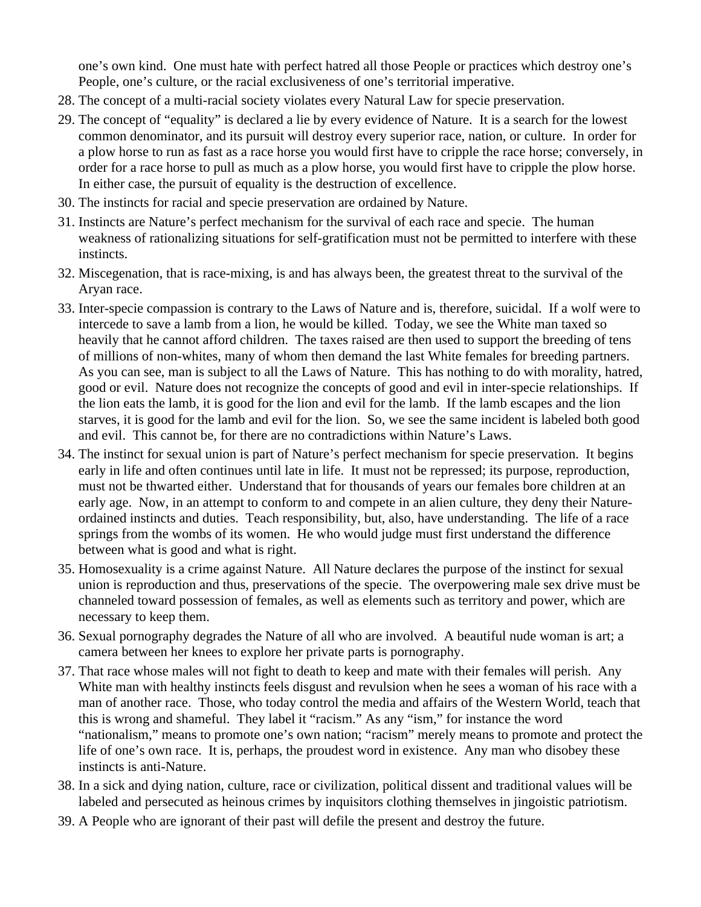one's own kind. One must hate with perfect hatred all those People or practices which destroy one's People, one's culture, or the racial exclusiveness of one's territorial imperative.

- 28. The concept of a multi-racial society violates every Natural Law for specie preservation.
- 29. The concept of "equality" is declared a lie by every evidence of Nature. It is a search for the lowest common denominator, and its pursuit will destroy every superior race, nation, or culture. In order for a plow horse to run as fast as a race horse you would first have to cripple the race horse; conversely, in order for a race horse to pull as much as a plow horse, you would first have to cripple the plow horse. In either case, the pursuit of equality is the destruction of excellence.
- 30. The instincts for racial and specie preservation are ordained by Nature.
- 31. Instincts are Nature's perfect mechanism for the survival of each race and specie. The human weakness of rationalizing situations for self-gratification must not be permitted to interfere with these instincts.
- 32. Miscegenation, that is race-mixing, is and has always been, the greatest threat to the survival of the Aryan race.
- 33. Inter-specie compassion is contrary to the Laws of Nature and is, therefore, suicidal. If a wolf were to intercede to save a lamb from a lion, he would be killed. Today, we see the White man taxed so heavily that he cannot afford children. The taxes raised are then used to support the breeding of tens of millions of non-whites, many of whom then demand the last White females for breeding partners. As you can see, man is subject to all the Laws of Nature. This has nothing to do with morality, hatred, good or evil. Nature does not recognize the concepts of good and evil in inter-specie relationships. If the lion eats the lamb, it is good for the lion and evil for the lamb. If the lamb escapes and the lion starves, it is good for the lamb and evil for the lion. So, we see the same incident is labeled both good and evil. This cannot be, for there are no contradictions within Nature's Laws.
- 34. The instinct for sexual union is part of Nature's perfect mechanism for specie preservation. It begins early in life and often continues until late in life. It must not be repressed; its purpose, reproduction, must not be thwarted either. Understand that for thousands of years our females bore children at an early age. Now, in an attempt to conform to and compete in an alien culture, they deny their Natureordained instincts and duties. Teach responsibility, but, also, have understanding. The life of a race springs from the wombs of its women. He who would judge must first understand the difference between what is good and what is right.
- 35. Homosexuality is a crime against Nature. All Nature declares the purpose of the instinct for sexual union is reproduction and thus, preservations of the specie. The overpowering male sex drive must be channeled toward possession of females, as well as elements such as territory and power, which are necessary to keep them.
- 36. Sexual pornography degrades the Nature of all who are involved. A beautiful nude woman is art; a camera between her knees to explore her private parts is pornography.
- 37. That race whose males will not fight to death to keep and mate with their females will perish. Any White man with healthy instincts feels disgust and revulsion when he sees a woman of his race with a man of another race. Those, who today control the media and affairs of the Western World, teach that this is wrong and shameful. They label it "racism." As any "ism," for instance the word "nationalism," means to promote one's own nation; "racism" merely means to promote and protect the life of one's own race. It is, perhaps, the proudest word in existence. Any man who disobey these instincts is anti-Nature.
- 38. In a sick and dying nation, culture, race or civilization, political dissent and traditional values will be labeled and persecuted as heinous crimes by inquisitors clothing themselves in jingoistic patriotism.
- 39. A People who are ignorant of their past will defile the present and destroy the future.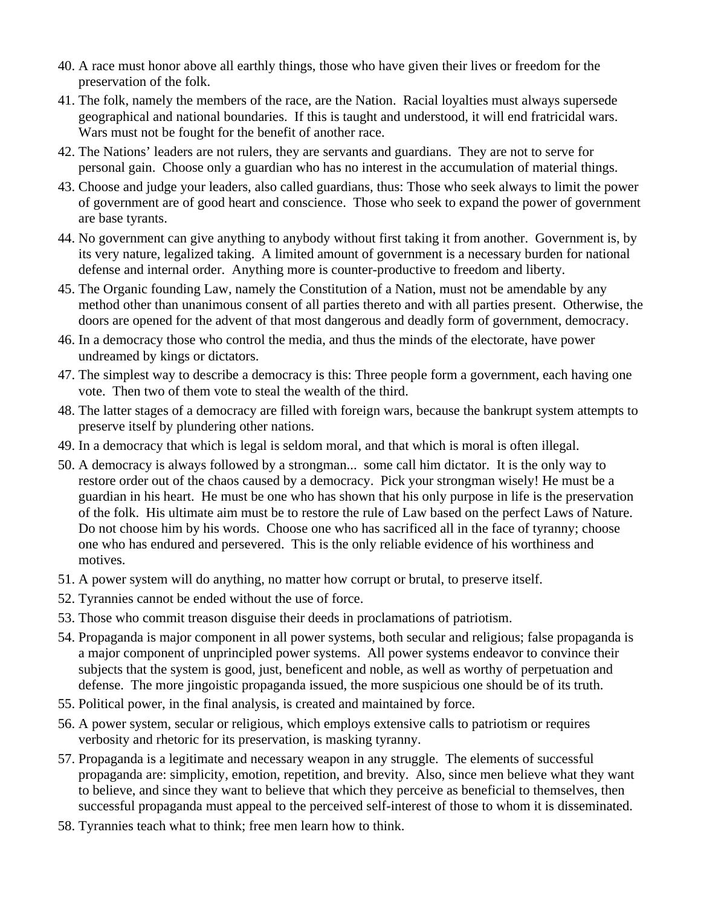- 40. A race must honor above all earthly things, those who have given their lives or freedom for the preservation of the folk.
- 41. The folk, namely the members of the race, are the Nation. Racial loyalties must always supersede geographical and national boundaries. If this is taught and understood, it will end fratricidal wars. Wars must not be fought for the benefit of another race.
- 42. The Nations' leaders are not rulers, they are servants and guardians. They are not to serve for personal gain. Choose only a guardian who has no interest in the accumulation of material things.
- 43. Choose and judge your leaders, also called guardians, thus: Those who seek always to limit the power of government are of good heart and conscience. Those who seek to expand the power of government are base tyrants.
- 44. No government can give anything to anybody without first taking it from another. Government is, by its very nature, legalized taking. A limited amount of government is a necessary burden for national defense and internal order. Anything more is counter-productive to freedom and liberty.
- 45. The Organic founding Law, namely the Constitution of a Nation, must not be amendable by any method other than unanimous consent of all parties thereto and with all parties present. Otherwise, the doors are opened for the advent of that most dangerous and deadly form of government, democracy.
- 46. In a democracy those who control the media, and thus the minds of the electorate, have power undreamed by kings or dictators.
- 47. The simplest way to describe a democracy is this: Three people form a government, each having one vote. Then two of them vote to steal the wealth of the third.
- 48. The latter stages of a democracy are filled with foreign wars, because the bankrupt system attempts to preserve itself by plundering other nations.
- 49. In a democracy that which is legal is seldom moral, and that which is moral is often illegal.
- 50. A democracy is always followed by a strongman... some call him dictator. It is the only way to restore order out of the chaos caused by a democracy. Pick your strongman wisely! He must be a guardian in his heart. He must be one who has shown that his only purpose in life is the preservation of the folk. His ultimate aim must be to restore the rule of Law based on the perfect Laws of Nature. Do not choose him by his words. Choose one who has sacrificed all in the face of tyranny; choose one who has endured and persevered. This is the only reliable evidence of his worthiness and motives.
- 51. A power system will do anything, no matter how corrupt or brutal, to preserve itself.
- 52. Tyrannies cannot be ended without the use of force.
- 53. Those who commit treason disguise their deeds in proclamations of patriotism.
- 54. Propaganda is major component in all power systems, both secular and religious; false propaganda is a major component of unprincipled power systems. All power systems endeavor to convince their subjects that the system is good, just, beneficent and noble, as well as worthy of perpetuation and defense. The more jingoistic propaganda issued, the more suspicious one should be of its truth.
- 55. Political power, in the final analysis, is created and maintained by force.
- 56. A power system, secular or religious, which employs extensive calls to patriotism or requires verbosity and rhetoric for its preservation, is masking tyranny.
- 57. Propaganda is a legitimate and necessary weapon in any struggle. The elements of successful propaganda are: simplicity, emotion, repetition, and brevity. Also, since men believe what they want to believe, and since they want to believe that which they perceive as beneficial to themselves, then successful propaganda must appeal to the perceived self-interest of those to whom it is disseminated.
- 58. Tyrannies teach what to think; free men learn how to think.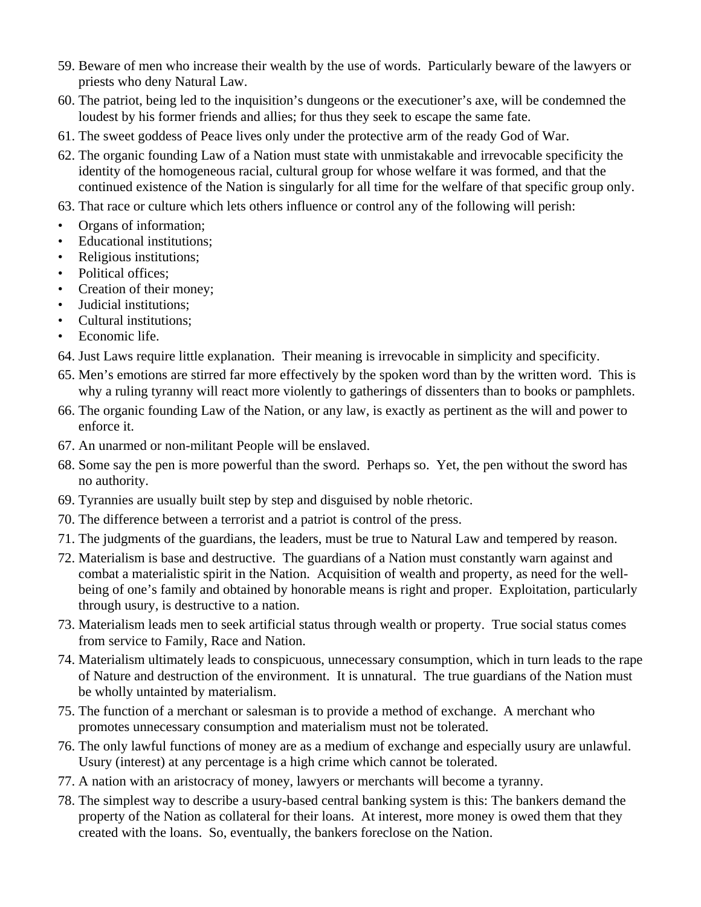- 59. Beware of men who increase their wealth by the use of words. Particularly beware of the lawyers or priests who deny Natural Law.
- 60. The patriot, being led to the inquisition's dungeons or the executioner's axe, will be condemned the loudest by his former friends and allies; for thus they seek to escape the same fate.
- 61. The sweet goddess of Peace lives only under the protective arm of the ready God of War.
- 62. The organic founding Law of a Nation must state with unmistakable and irrevocable specificity the identity of the homogeneous racial, cultural group for whose welfare it was formed, and that the continued existence of the Nation is singularly for all time for the welfare of that specific group only.
- 63. That race or culture which lets others influence or control any of the following will perish:
- Organs of information;
- Educational institutions;
- Religious institutions;
- Political offices;
- Creation of their money;
- Judicial institutions;
- Cultural institutions;
- Economic life.
- 64. Just Laws require little explanation. Their meaning is irrevocable in simplicity and specificity.
- 65. Men's emotions are stirred far more effectively by the spoken word than by the written word. This is why a ruling tyranny will react more violently to gatherings of dissenters than to books or pamphlets.
- 66. The organic founding Law of the Nation, or any law, is exactly as pertinent as the will and power to enforce it.
- 67. An unarmed or non-militant People will be enslaved.
- 68. Some say the pen is more powerful than the sword. Perhaps so. Yet, the pen without the sword has no authority.
- 69. Tyrannies are usually built step by step and disguised by noble rhetoric.
- 70. The difference between a terrorist and a patriot is control of the press.
- 71. The judgments of the guardians, the leaders, must be true to Natural Law and tempered by reason.
- 72. Materialism is base and destructive. The guardians of a Nation must constantly warn against and combat a materialistic spirit in the Nation. Acquisition of wealth and property, as need for the wellbeing of one's family and obtained by honorable means is right and proper. Exploitation, particularly through usury, is destructive to a nation.
- 73. Materialism leads men to seek artificial status through wealth or property. True social status comes from service to Family, Race and Nation.
- 74. Materialism ultimately leads to conspicuous, unnecessary consumption, which in turn leads to the rape of Nature and destruction of the environment. It is unnatural. The true guardians of the Nation must be wholly untainted by materialism.
- 75. The function of a merchant or salesman is to provide a method of exchange. A merchant who promotes unnecessary consumption and materialism must not be tolerated.
- 76. The only lawful functions of money are as a medium of exchange and especially usury are unlawful. Usury (interest) at any percentage is a high crime which cannot be tolerated.
- 77. A nation with an aristocracy of money, lawyers or merchants will become a tyranny.
- 78. The simplest way to describe a usury-based central banking system is this: The bankers demand the property of the Nation as collateral for their loans. At interest, more money is owed them that they created with the loans. So, eventually, the bankers foreclose on the Nation.